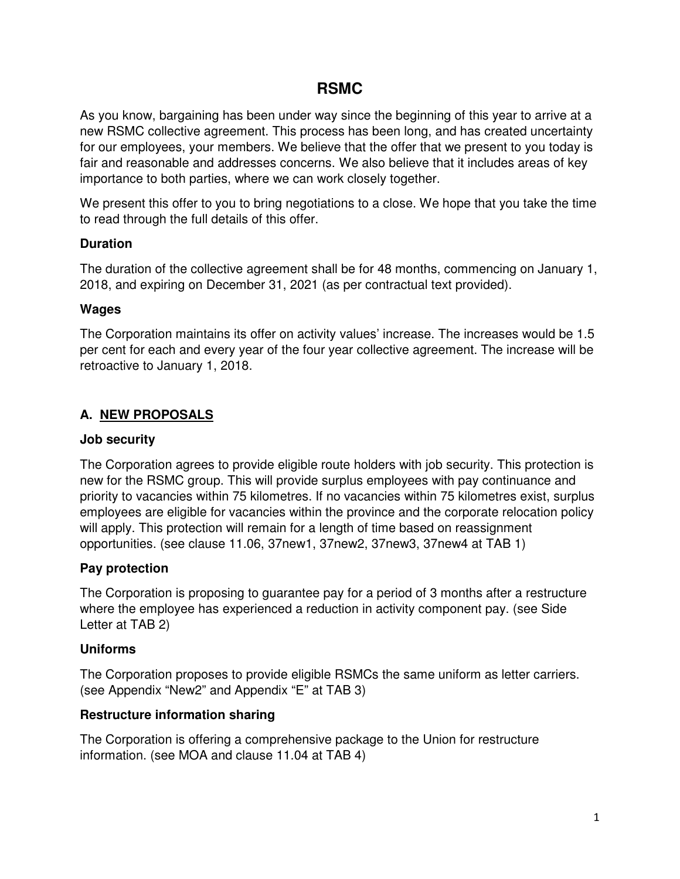# **RSMC**

As you know, bargaining has been under way since the beginning of this year to arrive at a new RSMC collective agreement. This process has been long, and has created uncertainty for our employees, your members. We believe that the offer that we present to you today is fair and reasonable and addresses concerns. We also believe that it includes areas of key importance to both parties, where we can work closely together.

We present this offer to you to bring negotiations to a close. We hope that you take the time to read through the full details of this offer.

### **Duration**

The duration of the collective agreement shall be for 48 months, commencing on January 1, 2018, and expiring on December 31, 2021 (as per contractual text provided).

### **Wages**

The Corporation maintains its offer on activity values' increase. The increases would be 1.5 per cent for each and every year of the four year collective agreement. The increase will be retroactive to January 1, 2018.

# **A. NEW PROPOSALS**

# **Job security**

The Corporation agrees to provide eligible route holders with job security. This protection is new for the RSMC group. This will provide surplus employees with pay continuance and priority to vacancies within 75 kilometres. If no vacancies within 75 kilometres exist, surplus employees are eligible for vacancies within the province and the corporate relocation policy will apply. This protection will remain for a length of time based on reassignment opportunities. (see clause 11.06, 37new1, 37new2, 37new3, 37new4 at TAB 1)

# **Pay protection**

The Corporation is proposing to guarantee pay for a period of 3 months after a restructure where the employee has experienced a reduction in activity component pay. (see Side Letter at TAB 2)

# **Uniforms**

The Corporation proposes to provide eligible RSMCs the same uniform as letter carriers. (see Appendix "New2" and Appendix "E" at TAB 3)

# **Restructure information sharing**

The Corporation is offering a comprehensive package to the Union for restructure information. (see MOA and clause 11.04 at TAB 4)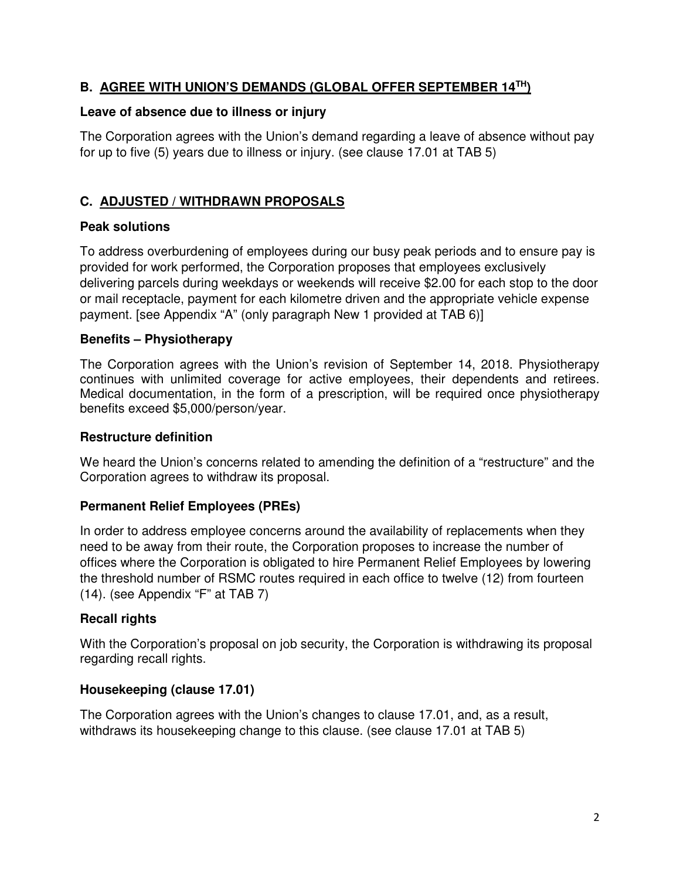## **B. AGREE WITH UNION'S DEMANDS (GLOBAL OFFER SEPTEMBER 14TH)**

#### **Leave of absence due to illness or injury**

The Corporation agrees with the Union's demand regarding a leave of absence without pay for up to five (5) years due to illness or injury. (see clause 17.01 at TAB 5)

### **C. ADJUSTED / WITHDRAWN PROPOSALS**

#### **Peak solutions**

To address overburdening of employees during our busy peak periods and to ensure pay is provided for work performed, the Corporation proposes that employees exclusively delivering parcels during weekdays or weekends will receive \$2.00 for each stop to the door or mail receptacle, payment for each kilometre driven and the appropriate vehicle expense payment. [see Appendix "A" (only paragraph New 1 provided at TAB 6)]

#### **Benefits – Physiotherapy**

The Corporation agrees with the Union's revision of September 14, 2018. Physiotherapy continues with unlimited coverage for active employees, their dependents and retirees. Medical documentation, in the form of a prescription, will be required once physiotherapy benefits exceed \$5,000/person/year.

#### **Restructure definition**

We heard the Union's concerns related to amending the definition of a "restructure" and the Corporation agrees to withdraw its proposal.

#### **Permanent Relief Employees (PREs)**

In order to address employee concerns around the availability of replacements when they need to be away from their route, the Corporation proposes to increase the number of offices where the Corporation is obligated to hire Permanent Relief Employees by lowering the threshold number of RSMC routes required in each office to twelve (12) from fourteen (14). (see Appendix "F" at TAB 7)

#### **Recall rights**

With the Corporation's proposal on job security, the Corporation is withdrawing its proposal regarding recall rights.

#### **Housekeeping (clause 17.01)**

The Corporation agrees with the Union's changes to clause 17.01, and, as a result, withdraws its housekeeping change to this clause. (see clause 17.01 at TAB 5)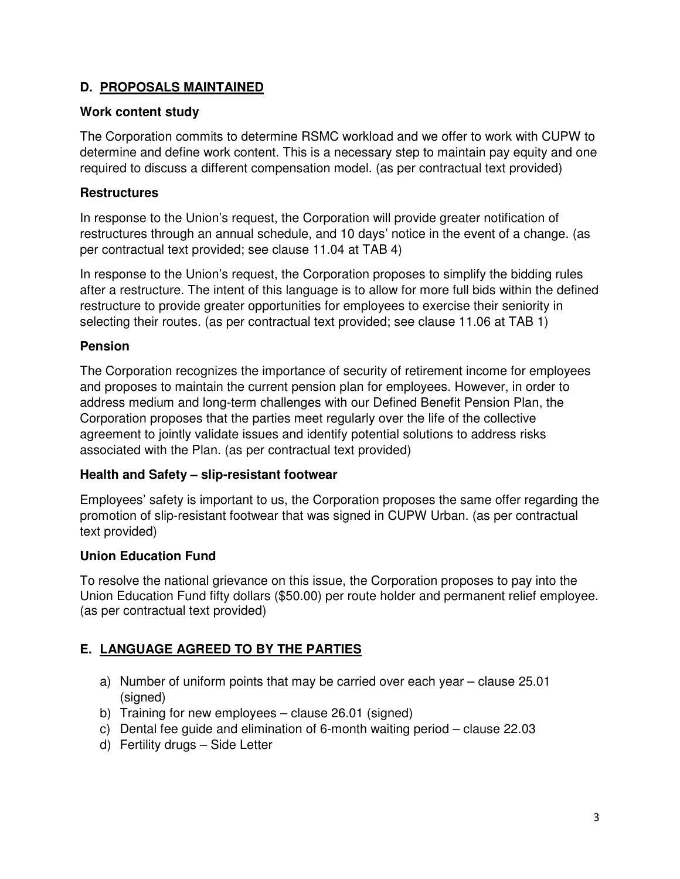# **D. PROPOSALS MAINTAINED**

#### **Work content study**

The Corporation commits to determine RSMC workload and we offer to work with CUPW to determine and define work content. This is a necessary step to maintain pay equity and one required to discuss a different compensation model. (as per contractual text provided)

#### **Restructures**

In response to the Union's request, the Corporation will provide greater notification of restructures through an annual schedule, and 10 days' notice in the event of a change. (as per contractual text provided; see clause 11.04 at TAB 4)

In response to the Union's request, the Corporation proposes to simplify the bidding rules after a restructure. The intent of this language is to allow for more full bids within the defined restructure to provide greater opportunities for employees to exercise their seniority in selecting their routes. (as per contractual text provided; see clause 11.06 at TAB 1)

#### **Pension**

The Corporation recognizes the importance of security of retirement income for employees and proposes to maintain the current pension plan for employees. However, in order to address medium and long-term challenges with our Defined Benefit Pension Plan, the Corporation proposes that the parties meet regularly over the life of the collective agreement to jointly validate issues and identify potential solutions to address risks associated with the Plan. (as per contractual text provided)

#### **Health and Safety – slip-resistant footwear**

Employees' safety is important to us, the Corporation proposes the same offer regarding the promotion of slip-resistant footwear that was signed in CUPW Urban. (as per contractual text provided)

#### **Union Education Fund**

To resolve the national grievance on this issue, the Corporation proposes to pay into the Union Education Fund fifty dollars (\$50.00) per route holder and permanent relief employee. (as per contractual text provided)

# **E. LANGUAGE AGREED TO BY THE PARTIES**

- a) Number of uniform points that may be carried over each year clause 25.01 (signed)
- b) Training for new employees clause 26.01 (signed)
- c) Dental fee guide and elimination of 6-month waiting period clause 22.03
- d) Fertility drugs Side Letter